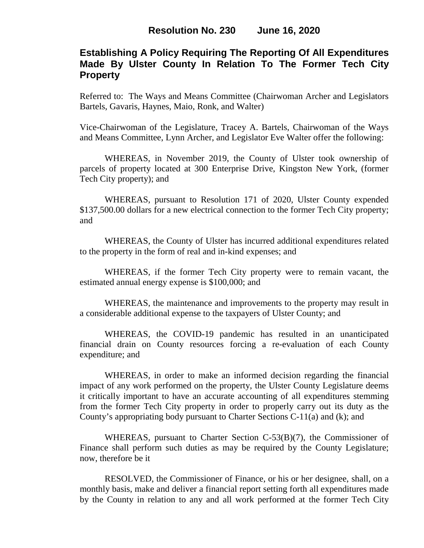# **Establishing A Policy Requiring The Reporting Of All Expenditures Made By Ulster County In Relation To The Former Tech City Property**

Referred to: The Ways and Means Committee (Chairwoman Archer and Legislators Bartels, Gavaris, Haynes, Maio, Ronk, and Walter)

Vice-Chairwoman of the Legislature, Tracey A. Bartels, Chairwoman of the Ways and Means Committee, Lynn Archer, and Legislator Eve Walter offer the following:

WHEREAS, in November 2019, the County of Ulster took ownership of parcels of property located at 300 Enterprise Drive, Kingston New York, (former Tech City property); and

WHEREAS, pursuant to Resolution 171 of 2020, Ulster County expended \$137,500.00 dollars for a new electrical connection to the former Tech City property; and

WHEREAS, the County of Ulster has incurred additional expenditures related to the property in the form of real and in-kind expenses; and

WHEREAS, if the former Tech City property were to remain vacant, the estimated annual energy expense is \$100,000; and

WHEREAS, the maintenance and improvements to the property may result in a considerable additional expense to the taxpayers of Ulster County; and

WHEREAS, the COVID-19 pandemic has resulted in an unanticipated financial drain on County resources forcing a re-evaluation of each County expenditure; and

WHEREAS, in order to make an informed decision regarding the financial impact of any work performed on the property, the Ulster County Legislature deems it critically important to have an accurate accounting of all expenditures stemming from the former Tech City property in order to properly carry out its duty as the County's appropriating body pursuant to Charter Sections C-11(a) and (k); and

WHEREAS, pursuant to Charter Section C-53(B)(7), the Commissioner of Finance shall perform such duties as may be required by the County Legislature; now, therefore be it

RESOLVED, the Commissioner of Finance, or his or her designee, shall, on a monthly basis, make and deliver a financial report setting forth all expenditures made by the County in relation to any and all work performed at the former Tech City